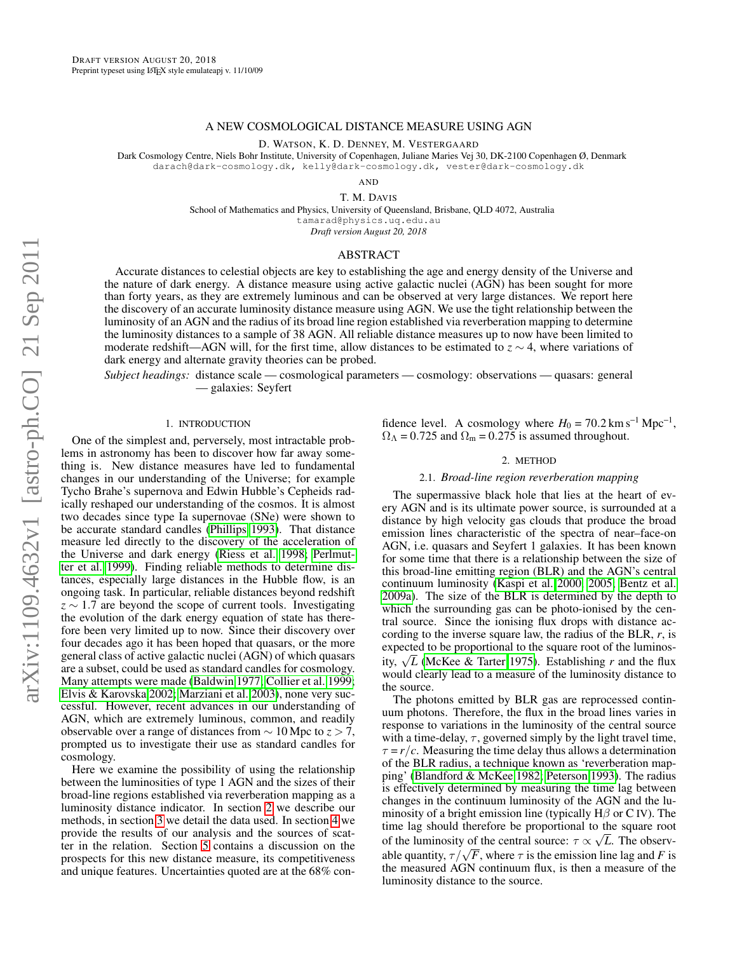# A NEW COSMOLOGICAL DISTANCE MEASURE USING AGN

D. WATSON, K. D. DENNEY, M. VESTERGAARD

Dark Cosmology Centre, Niels Bohr Institute, University of Copenhagen, Juliane Maries Vej 30, DK-2100 Copenhagen Ø, Denmark darach@dark-cosmology.dk, kelly@dark-cosmology.dk, vester@dark-cosmology.dk

AND

T. M. DAVIS

School of Mathematics and Physics, University of Queensland, Brisbane, QLD 4072, Australia

tamarad@physics.uq.edu.au

*Draft version August 20, 2018*

# ABSTRACT

Accurate distances to celestial objects are key to establishing the age and energy density of the Universe and the nature of dark energy. A distance measure using active galactic nuclei (AGN) has been sought for more than forty years, as they are extremely luminous and can be observed at very large distances. We report here the discovery of an accurate luminosity distance measure using AGN. We use the tight relationship between the luminosity of an AGN and the radius of its broad line region established via reverberation mapping to determine the luminosity distances to a sample of 38 AGN. All reliable distance measures up to now have been limited to moderate redshift—AGN will, for the first time, allow distances to be estimated to *z* ∼ 4, where variations of dark energy and alternate gravity theories can be probed.

*Subject headings:* distance scale — cosmological parameters — cosmology: observations — quasars: general — galaxies: Seyfert

# 1. INTRODUCTION

One of the simplest and, perversely, most intractable problems in astronomy has been to discover how far away something is. New distance measures have led to fundamental changes in our understanding of the Universe; for example Tycho Brahe's supernova and Edwin Hubble's Cepheids radically reshaped our understanding of the cosmos. It is almost two decades since type Ia supernovae (SNe) were shown to be accurate standard candles [\(Phillips 1993\)](#page-4-0). That distance measure led directly to the discovery of the acceleration of the Universe and dark energy [\(Riess et al. 1998;](#page-4-1) [Perlmut](#page-4-2)[ter et al. 1999\)](#page-4-2). Finding reliable methods to determine distances, especially large distances in the Hubble flow, is an ongoing task. In particular, reliable distances beyond redshift *z* ∼ 1.7 are beyond the scope of current tools. Investigating the evolution of the dark energy equation of state has therefore been very limited up to now. Since their discovery over four decades ago it has been hoped that quasars, or the more general class of active galactic nuclei (AGN) of which quasars are a subset, could be used as standard candles for cosmology. Many attempts were made [\(Baldwin 1977;](#page-4-3) [Collier et al. 1999;](#page-4-4) [Elvis & Karovska 2002;](#page-4-5) [Marziani et al. 2003\)](#page-4-6), none very successful. However, recent advances in our understanding of AGN, which are extremely luminous, common, and readily observable over a range of distances from ∼ 10 Mpc to *z* > 7, prompted us to investigate their use as standard candles for cosmology.

Here we examine the possibility of using the relationship between the luminosities of type 1 AGN and the sizes of their broad-line regions established via reverberation mapping as a luminosity distance indicator. In section [2](#page-0-0) we describe our methods, in section [3](#page-1-0) we detail the data used. In section [4](#page-1-1) we provide the results of our analysis and the sources of scatter in the relation. Section [5](#page-3-0) contains a discussion on the prospects for this new distance measure, its competitiveness and unique features. Uncertainties quoted are at the 68% con-

fidence level. A cosmology where  $H_0 = 70.2 \text{ km s}^{-1} \text{ Mpc}^{-1}$ ,  $\Omega_{\Lambda}$  = 0.725 and  $\Omega_{\rm m}$  = 0.275 is assumed throughout.

# 2. METHOD

## 2.1. *Broad-line region reverberation mapping*

<span id="page-0-0"></span>The supermassive black hole that lies at the heart of every AGN and is its ultimate power source, is surrounded at a distance by high velocity gas clouds that produce the broad emission lines characteristic of the spectra of near–face-on AGN, i.e. quasars and Seyfert 1 galaxies. It has been known for some time that there is a relationship between the size of this broad-line emitting region (BLR) and the AGN's central continuum luminosity [\(Kaspi et al. 2000,](#page-4-7) [2005;](#page-4-8) [Bentz et al.](#page-4-9) [2009a\)](#page-4-9). The size of the BLR is determined by the depth to which the surrounding gas can be photo-ionised by the central source. Since the ionising flux drops with distance according to the inverse square law, the radius of the BLR, *r*, is expected to be proportional to the square root of the luminosexpected to be proportional to the square root of the furninos-<br>ity,  $\sqrt{L}$  [\(McKee & Tarter 1975\)](#page-4-10). Establishing *r* and the flux would clearly lead to a measure of the luminosity distance to the source.

The photons emitted by BLR gas are reprocessed continuum photons. Therefore, the flux in the broad lines varies in response to variations in the luminosity of the central source with a time-delay,  $\tau$ , governed simply by the light travel time,  $\tau = r/c$ . Measuring the time delay thus allows a determination of the BLR radius, a technique known as 'reverberation mapping' [\(Blandford & McKee 1982;](#page-4-11) [Peterson 1993\)](#page-4-12). The radius is effectively determined by measuring the time lag between changes in the continuum luminosity of the AGN and the luminosity of a bright emission line (typically  $H\beta$  or C IV). The time lag should therefore be proportional to the square root of the luminosity of the central source:  $\tau \propto \sqrt{L}$ . The observor the furnmosity of the central source:  $τ \propto √L$ . The observable quantity,  $τ / √F$ , where *τ* is the emission line lag and *F* is the measured AGN continuum flux, is then a measure of the luminosity distance to the source.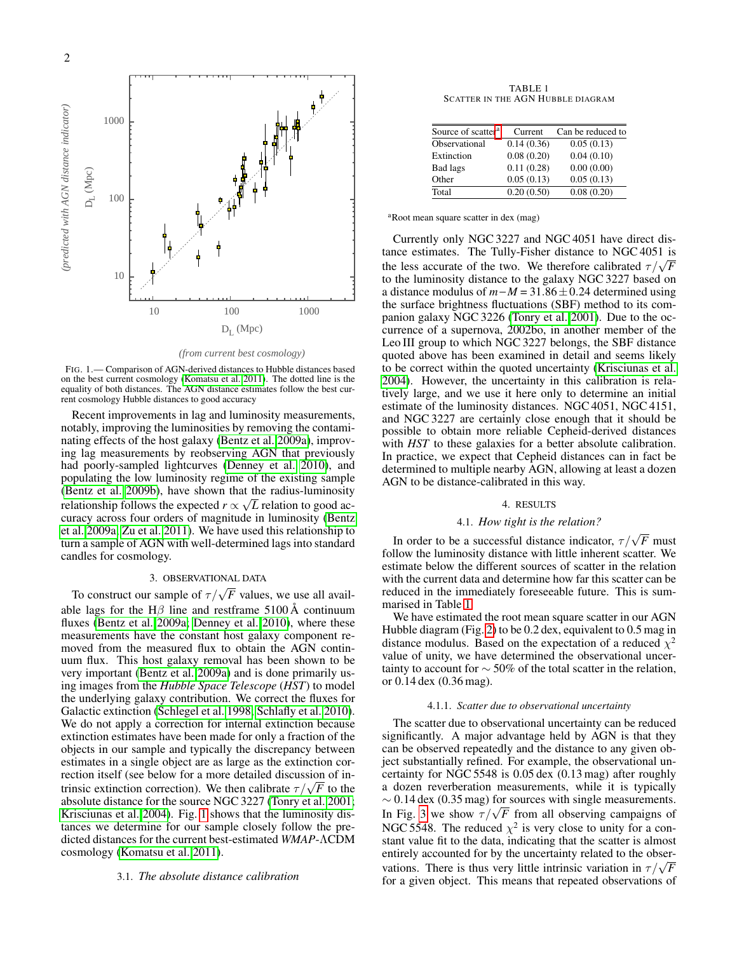

*(from current best cosmology)*

<span id="page-1-2"></span>FIG. 1.— Comparison of AGN-derived distances to Hubble distances based on the best current cosmology [\(Komatsu et al. 2011\)](#page-4-13). The dotted line is the equality of both distances. The AGN distance estimates follow the best current cosmology Hubble distances to good accuracy

Recent improvements in lag and luminosity measurements, notably, improving the luminosities by removing the contaminating effects of the host galaxy [\(Bentz et al. 2009a\)](#page-4-9), improving lag measurements by reobserving AGN that previously had poorly-sampled lightcurves [\(Denney et al. 2010\)](#page-4-14), and populating the low luminosity regime of the existing sample [\(Bentz et al. 2009b\)](#page-4-15), have shown that the radius-luminosity relationship follows the expected  $r \propto \sqrt{L}$  relation to good accuracy across four orders of magnitude in luminosity [\(Bentz](#page-4-9) [et al. 2009a;](#page-4-9) [Zu et al. 2011\)](#page-4-16). We have used this relationship to turn a sample of AGN with well-determined lags into standard candles for cosmology.

# 3. OBSERVATIONAL DATA

<span id="page-1-0"></span>To construct our sample of  $\tau/\sqrt{F}$  values, we use all available lags for the H $\beta$  line and restframe 5100 Å continuum fluxes [\(Bentz et al. 2009a;](#page-4-9) [Denney et al. 2010\)](#page-4-14), where these measurements have the constant host galaxy component removed from the measured flux to obtain the AGN continuum flux. This host galaxy removal has been shown to be very important [\(Bentz et al. 2009a\)](#page-4-9) and is done primarily using images from the *Hubble Space Telescope* (*HST*) to model the underlying galaxy contribution. We correct the fluxes for Galactic extinction [\(Schlegel et al. 1998;](#page-4-17) [Schlafly et al. 2010\)](#page-4-18). We do not apply a correction for internal extinction because extinction estimates have been made for only a fraction of the objects in our sample and typically the discrepancy between estimates in a single object are as large as the extinction correction itself (see below for a more detailed discussion of inrection itself (see below for a more detailed discussion of intensic extinction correction). We then calibrate  $\tau/\sqrt{F}$  to the absolute distance for the source NGC 3227 [\(Tonry et al. 2001;](#page-4-19) [Krisciunas et al. 2004\)](#page-4-20). Fig. [1](#page-1-2) shows that the luminosity distances we determine for our sample closely follow the predicted distances for the current best-estimated *WMAP*-ΛCDM cosmology [\(Komatsu et al. 2011\)](#page-4-13).

#### 3.1. *The absolute distance calibration*

TABLE 1 SCATTER IN THE AGN HUBBLE DIAGRAM

<span id="page-1-4"></span>

| Source of scatter <sup>a</sup> | Current    | Can be reduced to |
|--------------------------------|------------|-------------------|
| Observational                  | 0.14(0.36) | 0.05(0.13)        |
| Extinction                     | 0.08(0.20) | 0.04(0.10)        |
| Bad lags                       | 0.11(0.28) | 0.00(0.00)        |
| Other                          | 0.05(0.13) | 0.05(0.13)        |
| Total                          | 0.20(0.50) | 0.08(0.20)        |

<span id="page-1-3"></span><sup>a</sup>Root mean square scatter in dex (mag)

Currently only NGC 3227 and NGC 4051 have direct distance estimates. The Tully-Fisher distance to NGC 4051 is the less accurate of the two. We therefore calibrated  $\tau/\sqrt{F}$ to the luminosity distance to the galaxy NGC 3227 based on a distance modulus of *m*−*M* = 31.86±0.24 determined using the surface brightness fluctuations (SBF) method to its companion galaxy NGC 3226 [\(Tonry et al. 2001\)](#page-4-19). Due to the occurrence of a supernova, 2002bo, in another member of the Leo III group to which NGC 3227 belongs, the SBF distance quoted above has been examined in detail and seems likely to be correct within the quoted uncertainty [\(Krisciunas et al.](#page-4-20) [2004\)](#page-4-20). However, the uncertainty in this calibration is relatively large, and we use it here only to determine an initial estimate of the luminosity distances. NGC 4051, NGC 4151, and NGC 3227 are certainly close enough that it should be possible to obtain more reliable Cepheid-derived distances with *HST* to these galaxies for a better absolute calibration. In practice, we expect that Cepheid distances can in fact be determined to multiple nearby AGN, allowing at least a dozen AGN to be distance-calibrated in this way.

#### 4. RESULTS

# 4.1. *How tight is the relation?*

<span id="page-1-1"></span>In order to be a successful distance indicator,  $\tau/\sqrt{F}$  must follow the luminosity distance with little inherent scatter. We estimate below the different sources of scatter in the relation with the current data and determine how far this scatter can be reduced in the immediately foreseeable future. This is summarised in Table [1.](#page-1-4)

We have estimated the root mean square scatter in our AGN Hubble diagram (Fig. [2\)](#page-2-0) to be 0.2 dex, equivalent to 0.5 mag in distance modulus. Based on the expectation of a reduced  $\chi^2$ value of unity, we have determined the observational uncertainty to account for  $\sim$  50% of the total scatter in the relation, or 0.14 dex (0.36 mag).

#### 4.1.1. *Scatter due to observational uncertainty*

The scatter due to observational uncertainty can be reduced significantly. A major advantage held by AGN is that they can be observed repeatedly and the distance to any given object substantially refined. For example, the observational uncertainty for NGC 5548 is 0.05 dex (0.13 mag) after roughly a dozen reverberation measurements, while it is typically  $\sim 0.14$  dex (0.35 mag) for sources with single measurements.  $\sim$  0.14 dex (0.55 mag) for sources with single measurements.<br>In Fig. [3](#page-3-1) we show  $\tau/\sqrt{F}$  from all observing campaigns of NGC 5548. The reduced  $\chi^2$  is very close to unity for a constant value fit to the data, indicating that the scatter is almost entirely accounted for by the uncertainty related to the obserentifier accounted for by the uncertainty related to the observations. There is thus very little intrinsic variation in  $\tau/\sqrt{F}$ for a given object. This means that repeated observations of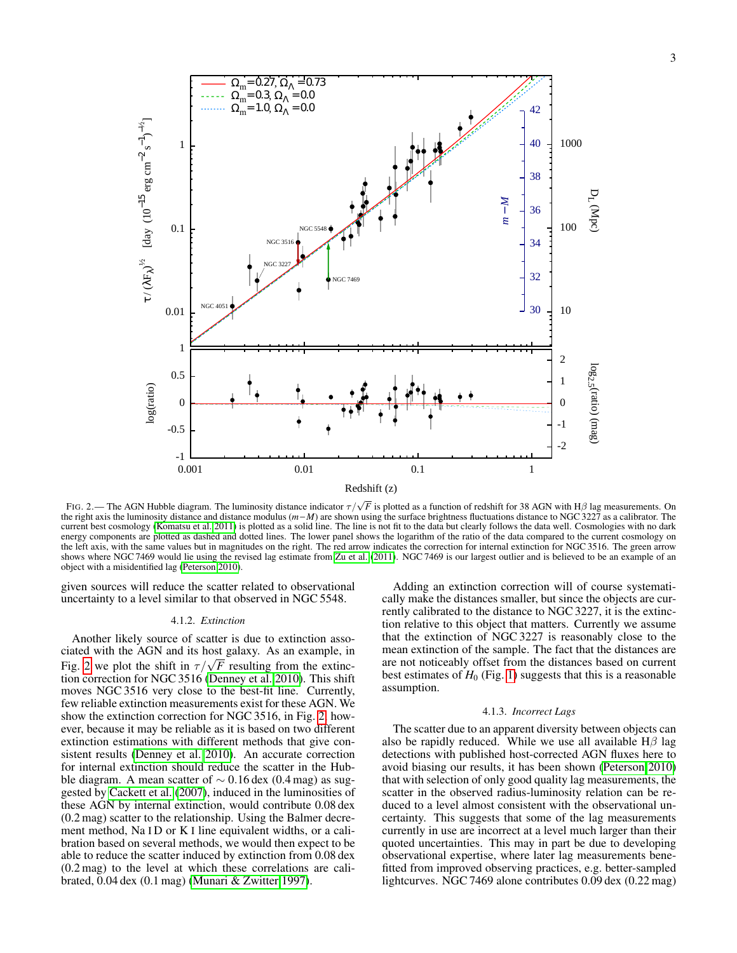

<span id="page-2-0"></span>FIG. 2.— The AGN Hubble diagram. The luminosity distance indicator  $\tau/\sqrt{F}$  is plotted as a function of redshift for 38 AGN with H $\beta$  lag measurements. On the right axis the luminosity distance and distance modulus (*m*−*M*) are shown using the surface brightness fluctuations distance to NGC 3227 as a calibrator. The current best cosmology [\(Komatsu et al. 2011\)](#page-4-13) is plotted as a solid line. The line is not fit to the data but clearly follows the data well. Cosmologies with no dark energy components are plotted as dashed and dotted lines. The lower panel shows the logarithm of the ratio of the data compared to the current cosmology on the left axis, with the same values but in magnitudes on the right. The red arrow indicates the correction for internal extinction for NGC 3516. The green arrow shows where NGC 7469 would lie using the revised lag estimate from [Zu et al.](#page-4-16) [\(2011\)](#page-4-16). NGC 7469 is our largest outlier and is believed to be an example of an object with a misidentified lag [\(Peterson 2010\)](#page-4-21).

given sources will reduce the scatter related to observational uncertainty to a level similar to that observed in NGC 5548.

### 4.1.2. *Extinction*

Another likely source of scatter is due to extinction associated with the AGN and its host galaxy. As an example, in clated with the AGN and its nost galaxy. As an example, in Fig. [2](#page-2-0) we plot the shift in  $\tau/\sqrt{F}$  resulting from the extinction correction for NGC 3516 [\(Denney et al. 2010\)](#page-4-14). This shift moves NGC 3516 very close to the best-fit line. Currently, few reliable extinction measurements exist for these AGN. We show the extinction correction for NGC 3516, in Fig. [2,](#page-2-0) however, because it may be reliable as it is based on two different extinction estimations with different methods that give consistent results [\(Denney et al. 2010\)](#page-4-14). An accurate correction for internal extinction should reduce the scatter in the Hubble diagram. A mean scatter of  $\sim 0.16$  dex (0.4 mag) as suggested by [Cackett et al.](#page-4-22) [\(2007\)](#page-4-22), induced in the luminosities of these AGN by internal extinction, would contribute 0.08 dex (0.2 mag) scatter to the relationship. Using the Balmer decrement method, Na ID or K I line equivalent widths, or a calibration based on several methods, we would then expect to be able to reduce the scatter induced by extinction from 0.08 dex (0.2 mag) to the level at which these correlations are calibrated, 0.04 dex (0.1 mag) [\(Munari & Zwitter 1997\)](#page-4-23).

Adding an extinction correction will of course systematically make the distances smaller, but since the objects are currently calibrated to the distance to NGC 3227, it is the extinction relative to this object that matters. Currently we assume that the extinction of NGC 3227 is reasonably close to the mean extinction of the sample. The fact that the distances are are not noticeably offset from the distances based on current best estimates of  $H_0$  (Fig. [1\)](#page-1-2) suggests that this is a reasonable assumption.

#### 4.1.3. *Incorrect Lags*

The scatter due to an apparent diversity between objects can also be rapidly reduced. While we use all available  $H\beta$  lag detections with published host-corrected AGN fluxes here to avoid biasing our results, it has been shown [\(Peterson 2010\)](#page-4-21) that with selection of only good quality lag measurements, the scatter in the observed radius-luminosity relation can be reduced to a level almost consistent with the observational uncertainty. This suggests that some of the lag measurements currently in use are incorrect at a level much larger than their quoted uncertainties. This may in part be due to developing observational expertise, where later lag measurements benefitted from improved observing practices, e.g. better-sampled lightcurves. NGC 7469 alone contributes 0.09 dex (0.22 mag)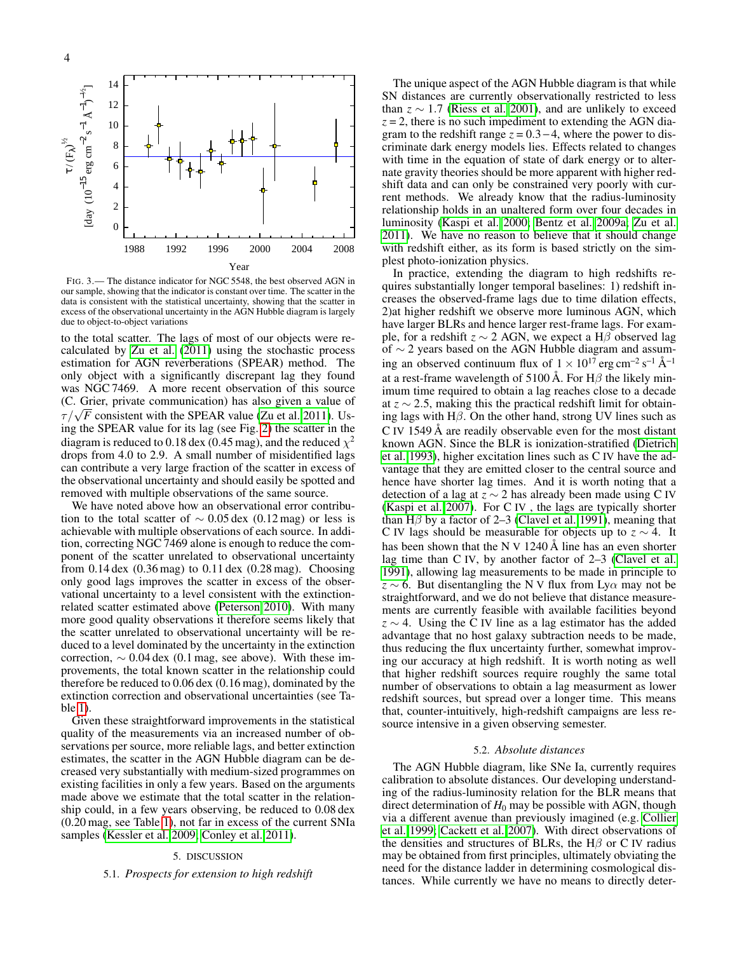

<span id="page-3-1"></span>FIG. 3.— The distance indicator for NGC 5548, the best observed AGN in our sample, showing that the indicator is constant over time. The scatter in the data is consistent with the statistical uncertainty, showing that the scatter in excess of the observational uncertainty in the AGN Hubble diagram is largely due to object-to-object variations

to the total scatter. The lags of most of our objects were recalculated by [Zu et al.](#page-4-16) [\(2011\)](#page-4-16) using the stochastic process estimation for AGN reverberations (SPEAR) method. The only object with a significantly discrepant lag they found was NGC 7469. A more recent observation of this source (C. Grier, private communication) has also given a value of (C. Grier, private communication) has also given a value of  $\tau/\sqrt{F}$  consistent with the SPEAR value [\(Zu et al. 2011\)](#page-4-16). Using the SPEAR value for its lag (see Fig. [2\)](#page-2-0) the scatter in the diagram is reduced to 0.18 dex (0.45 mag), and the reduced  $\chi^2$ drops from 4.0 to 2.9. A small number of misidentified lags can contribute a very large fraction of the scatter in excess of the observational uncertainty and should easily be spotted and removed with multiple observations of the same source.

We have noted above how an observational error contribution to the total scatter of  $\sim 0.05$  dex (0.12 mag) or less is achievable with multiple observations of each source. In addition, correcting NGC 7469 alone is enough to reduce the component of the scatter unrelated to observational uncertainty from 0.14 dex (0.36 mag) to 0.11 dex (0.28 mag). Choosing only good lags improves the scatter in excess of the observational uncertainty to a level consistent with the extinctionrelated scatter estimated above [\(Peterson 2010\)](#page-4-21). With many more good quality observations it therefore seems likely that the scatter unrelated to observational uncertainty will be reduced to a level dominated by the uncertainty in the extinction correction,  $\sim 0.04$  dex (0.1 mag, see above). With these improvements, the total known scatter in the relationship could therefore be reduced to 0.06 dex (0.16 mag), dominated by the extinction correction and observational uncertainties (see Table [1\)](#page-1-4).

Given these straightforward improvements in the statistical quality of the measurements via an increased number of observations per source, more reliable lags, and better extinction estimates, the scatter in the AGN Hubble diagram can be decreased very substantially with medium-sized programmes on existing facilities in only a few years. Based on the arguments made above we estimate that the total scatter in the relationship could, in a few years observing, be reduced to 0.08 dex (0.20 mag, see Table [1\)](#page-1-4), not far in excess of the current SNIa samples [\(Kessler et al. 2009;](#page-4-24) [Conley et al. 2011\)](#page-4-25).

### 5. DISCUSSION

### <span id="page-3-0"></span>5.1. *Prospects for extension to high redshift*

1988 1992 1996 2000 2004 2008 with redshift either, as its form is based strictly on the sim-The unique aspect of the AGN Hubble diagram is that while SN distances are currently observationally restricted to less than  $z \sim 1.7$  [\(Riess et al. 2001\)](#page-4-26), and are unlikely to exceed  $z = 2$ , there is no such impediment to extending the AGN diagram to the redshift range  $z = 0.3 - 4$ , where the power to discriminate dark energy models lies. Effects related to changes with time in the equation of state of dark energy or to alternate gravity theories should be more apparent with higher redshift data and can only be constrained very poorly with current methods. We already know that the radius-luminosity relationship holds in an unaltered form over four decades in luminosity [\(Kaspi et al. 2000;](#page-4-7) [Bentz et al. 2009a;](#page-4-9) [Zu et al.](#page-4-16) [2011\)](#page-4-16). We have no reason to believe that it should change plest photo-ionization physics.

In practice, extending the diagram to high redshifts requires substantially longer temporal baselines: 1) redshift increases the observed-frame lags due to time dilation effects, 2)at higher redshift we observe more luminous AGN, which have larger BLRs and hence larger rest-frame lags. For example, for a redshift  $z \sim 2$  AGN, we expect a H $\beta$  observed lag of ∼ 2 years based on the AGN Hubble diagram and assuming an observed continuum flux of  $1 \times 10^{17}$  erg cm<sup>-2</sup> s<sup>-1</sup> Å<sup>-1</sup> at a rest-frame wavelength of 5100 Å. For H $\beta$  the likely minimum time required to obtain a lag reaches close to a decade at *z* ∼ 2.5, making this the practical redshift limit for obtaining lags with  $H\beta$ . On the other hand, strong UV lines such as C IV 1549 Å are readily observable even for the most distant known AGN. Since the BLR is ionization-stratified [\(Dietrich](#page-4-27) [et al. 1993\)](#page-4-27), higher excitation lines such as C IV have the advantage that they are emitted closer to the central source and hence have shorter lag times. And it is worth noting that a detection of a lag at *z* ∼ 2 has already been made using C IV [\(Kaspi et al. 2007\)](#page-4-28). For C IV , the lags are typically shorter than H $\beta$  by a factor of 2–3 [\(Clavel et al. 1991\)](#page-4-29), meaning that C IV lags should be measurable for objects up to *z* ∼ 4. It has been shown that the N V 1240 Å line has an even shorter lag time than C IV, by another factor of 2–3 [\(Clavel et al.](#page-4-29) [1991\)](#page-4-29), allowing lag measurements to be made in principle to  $z \sim 6$ . But disentangling the N V flux from Ly $\alpha$  may not be straightforward, and we do not believe that distance measurements are currently feasible with available facilities beyond  $z \sim 4$ . Using the C IV line as a lag estimator has the added advantage that no host galaxy subtraction needs to be made, thus reducing the flux uncertainty further, somewhat improving our accuracy at high redshift. It is worth noting as well that higher redshift sources require roughly the same total number of observations to obtain a lag measurment as lower redshift sources, but spread over a longer time. This means that, counter-intuitively, high-redshift campaigns are less resource intensive in a given observing semester.

#### 5.2. *Absolute distances*

The AGN Hubble diagram, like SNe Ia, currently requires calibration to absolute distances. Our developing understanding of the radius-luminosity relation for the BLR means that direct determination of  $H_0$  may be possible with AGN, though via a different avenue than previously imagined (e.g. [Collier](#page-4-4) [et al. 1999;](#page-4-4) [Cackett et al. 2007\)](#page-4-22). With direct observations of the densities and structures of BLRs, the H $\beta$  or C IV radius may be obtained from first principles, ultimately obviating the need for the distance ladder in determining cosmological distances. While currently we have no means to directly deter